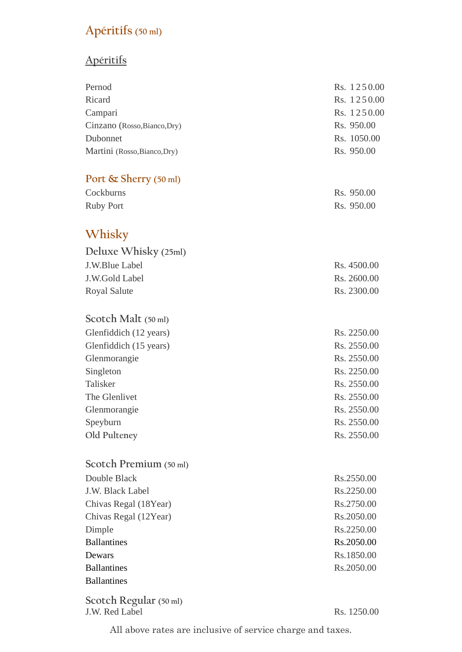# **Apéritifs (50 ml)**

# **Apéritifs**

| Pernod                       | Rs. 1250.00 |
|------------------------------|-------------|
| Ricard                       | Rs. 1250.00 |
| Campari                      | Rs. 1250.00 |
| Cinzano (Rosso, Bianco, Dry) | Rs. 950.00  |
| Dubonnet                     | Rs. 1050.00 |
| Martini (Rosso, Bianco, Dry) | Rs. 950.00  |
| Port & Sherry (50 ml)        |             |
| Cockburns                    | Rs. 950.00  |
| <b>Ruby Port</b>             | Rs. 950.00  |
| Whisky                       |             |
| Deluxe Whisky (25ml)         |             |
| J.W.Blue Label               | Rs. 4500.00 |
| J.W.Gold Label               | Rs. 2600.00 |
| <b>Royal Salute</b>          | Rs. 2300.00 |
| Scotch Malt (50 ml)          |             |
| Glenfiddich (12 years)       | Rs. 2250.00 |
| Glenfiddich (15 years)       | Rs. 2550.00 |
| Glenmorangie                 | Rs. 2550.00 |
| Singleton                    | Rs. 2250.00 |
| Talisker                     | Rs. 2550.00 |
| The Glenlivet                | Rs. 2550.00 |
| Glenmorangie                 | Rs. 2550.00 |
| Speyburn                     | Rs. 2550.00 |
| Old Pulteney                 | Rs. 2550.00 |
| Scotch Premium (50 ml)       |             |
| Double Black                 | Rs.2550.00  |
| J.W. Black Label             | Rs.2250.00  |
| Chivas Regal (18Year)        | Rs.2750.00  |
| Chivas Regal (12Year)        | Rs.2050.00  |
| Dimple                       | Rs.2250.00  |
| <b>Ballantines</b>           | Rs.2050.00  |
| Dewars                       | Rs.1850.00  |
| <b>Ballantines</b>           | Rs.2050.00  |
| <b>Ballantines</b>           |             |
|                              |             |

**Scotch Regular (50 ml)** J.W. Red Label Rs. 1250.00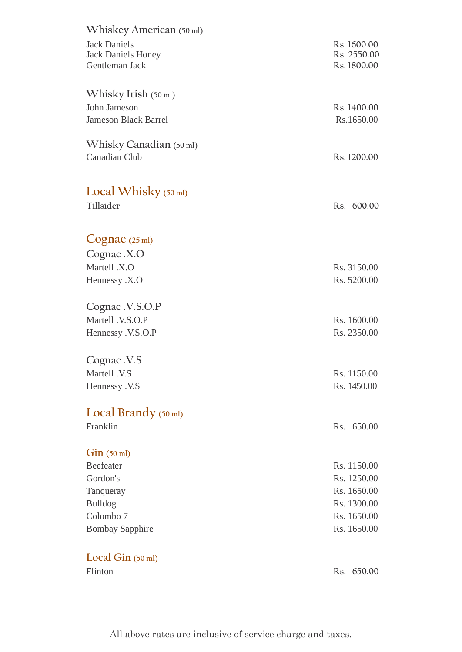| <b>Jack Daniels</b>                    |             |
|----------------------------------------|-------------|
|                                        | Rs. 1600.00 |
| <b>Jack Daniels Honey</b>              | Rs. 2550.00 |
| Gentleman Jack                         | Rs. 1800.00 |
|                                        |             |
| Whisky Irish (50 ml)                   |             |
| John Jameson                           | Rs. 1400.00 |
| <b>Jameson Black Barrel</b>            | Rs.1650.00  |
|                                        |             |
| Whisky Canadian (50 ml)                |             |
| Canadian Club                          | Rs. 1200.00 |
|                                        |             |
|                                        |             |
| Local Whisky $(50 \text{ ml})$         |             |
| Tillsider                              | Rs. 600.00  |
|                                        |             |
|                                        |             |
| $Cognac$ (25 ml)                       |             |
| Cognac .X.O                            |             |
| Martell .X.O                           | Rs. 3150.00 |
| Hennessy .X.O                          | Rs. 5200.00 |
|                                        |             |
| Cognac .V.S.O.P                        |             |
| Martell .V.S.O.P                       | Rs. 1600.00 |
| Hennessy .V.S.O.P                      | Rs. 2350.00 |
|                                        |             |
| Cognac .V.S                            |             |
| Martell .V.S                           | Rs. 1150.00 |
| Hennessy .V.S                          | Rs. 1450.00 |
|                                        |             |
| Local Brandy $(50 \text{ ml})$         |             |
| Franklin                               | Rs. 650.00  |
|                                        |             |
|                                        |             |
|                                        |             |
| $\operatorname{Gin}$ (50 ml)           |             |
| Beefeater                              | Rs. 1150.00 |
| Gordon's                               | Rs. 1250.00 |
| Tanqueray                              | Rs. 1650.00 |
| <b>Bulldog</b>                         | Rs. 1300.00 |
| Colombo <sub>7</sub>                   | Rs. 1650.00 |
| <b>Bombay Sapphire</b>                 | Rs. 1650.00 |
|                                        |             |
| Local Gin $(50 \text{ ml})$<br>Flinton | Rs. 650.00  |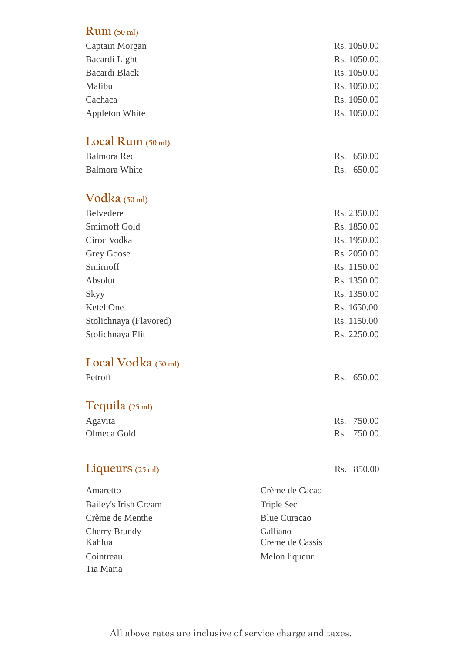| $Rum$ (50 ml)               |               |
|-----------------------------|---------------|
| Captain Morgan              | Rs. 1050.00   |
| Bacardi Light               | Rs. 1050.00   |
| <b>Bacardi Black</b>        | Rs. 1050.00   |
| Malibu                      | Rs. 1050.00   |
| Cachaca                     | Rs. 1050.00   |
| <b>Appleton White</b>       | Rs. 1050.00   |
| Local Rum $(50 \text{ ml})$ |               |
| <b>Balmora</b> Red          | 650.00<br>Rs. |
| <b>Balmora White</b>        | 650.00<br>Rs. |
| Vodka $(50 \text{ ml})$     |               |
| Belvedere                   | Rs. 2350.00   |
| <b>Smirnoff Gold</b>        | Rs. 1850.00   |
| Ciroc Vodka                 | Rs. 1950.00   |
| <b>Grey Goose</b>           | Rs. 2050.00   |
| Smirnoff                    | Rs. 1150.00   |
| Absolut                     | Rs. 1350.00   |
| Skyy                        | Rs. 1350.00   |
| Ketel One                   | Rs. 1650.00   |
| Stolichnaya (Flavored)      | Rs. 1150.00   |
| Stolichnaya Elit            | Rs. 2250.00   |
| Local Vodka (50 ml)         |               |
| Petroff                     | Rs. 650.00    |
| Tequila $(25 \text{ ml})$   |               |
| Agavita                     | 750.00<br>Rs. |
| Olmeca Gold                 | 750.00<br>Rs. |
| Liqueurs $(25 \text{ ml})$  | Rs. 850.00    |
|                             |               |

| Amaretto                       | Crème de Cacao              |
|--------------------------------|-----------------------------|
| Bailey's Irish Cream           | Triple Sec                  |
| Crème de Menthe                | <b>Blue Curacao</b>         |
| <b>Cherry Brandy</b><br>Kahlua | Galliano<br>Creme de Cassis |
| Cointreau                      | Melon liqueur               |
| Tia Maria                      |                             |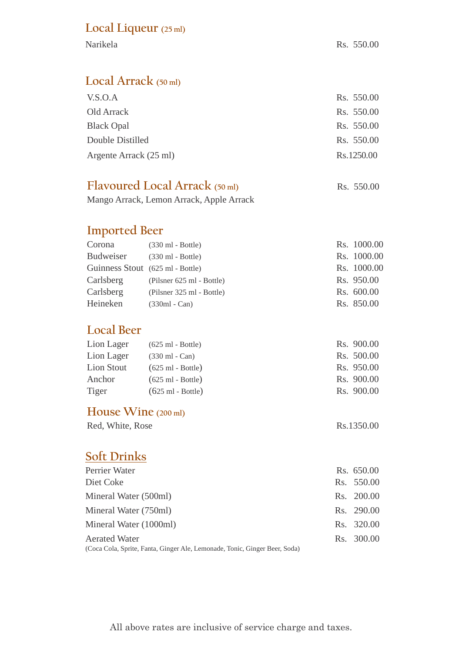### **Local Liqueur (25 ml)**

#### **Local Arrack (50 ml)**

| V.S.O.A                | Rs. 550.00 |
|------------------------|------------|
| Old Arrack             | Rs. 550.00 |
| <b>Black Opal</b>      | Rs. 550.00 |
| Double Distilled       | Rs. 550.00 |
| Argente Arrack (25 ml) | Rs.1250.00 |
|                        |            |

#### **Flavoured Local Arrack (50 ml)** Rs. 550.00

Mango Arrack, Lemon Arrack, Apple Arrack

# **Imported Beer**

| Corona                           | $(330 \text{ ml} - \text{Bottle})$ | Rs. 1000.00 |
|----------------------------------|------------------------------------|-------------|
| Budweiser                        | $(330 \text{ ml} - \text{Bottle})$ | Rs. 1000.00 |
| Guinness Stout (625 ml - Bottle) |                                    | Rs. 1000.00 |
| Carlsberg                        | (Pilsner 625 ml - Bottle)          | Rs. 950.00  |
| Carlsberg                        | (Pilsner 325 ml - Bottle)          | Rs. 600.00  |
| Heineken                         | $(330ml - Can)$                    | Rs. 850.00  |

# **Local Beer**

| Lion Lager | $(625 \text{ ml} - \text{Bottle})$ | Rs. 900.00 |
|------------|------------------------------------|------------|
| Lion Lager | $(330 \text{ ml} - Can)$           | Rs. 500.00 |
| Lion Stout | $(625 \text{ ml} - \text{Bottle})$ | Rs. 950.00 |
| Anchor     | $(625 \text{ ml} - \text{Bottle})$ | Rs. 900.00 |
| Tiger      | $(625 \text{ ml} - \text{Bottle})$ | Rs. 900.00 |
|            |                                    |            |

#### **House Wine (200 ml)**

Red, White, Rose Rs.1350.00

# **Soft Drinks**

| Perrier Water                                                              | Rs. 650.00 |
|----------------------------------------------------------------------------|------------|
| Diet Coke                                                                  | Rs. 550.00 |
| Mineral Water (500ml)                                                      | Rs. 200.00 |
| Mineral Water (750ml)                                                      | Rs. 290.00 |
| Mineral Water (1000ml)                                                     | Rs. 320.00 |
| <b>Aerated Water</b>                                                       | Rs. 300.00 |
| (Coca Cola, Sprite, Fanta, Ginger Ale, Lemonade, Tonic, Ginger Beer, Soda) |            |